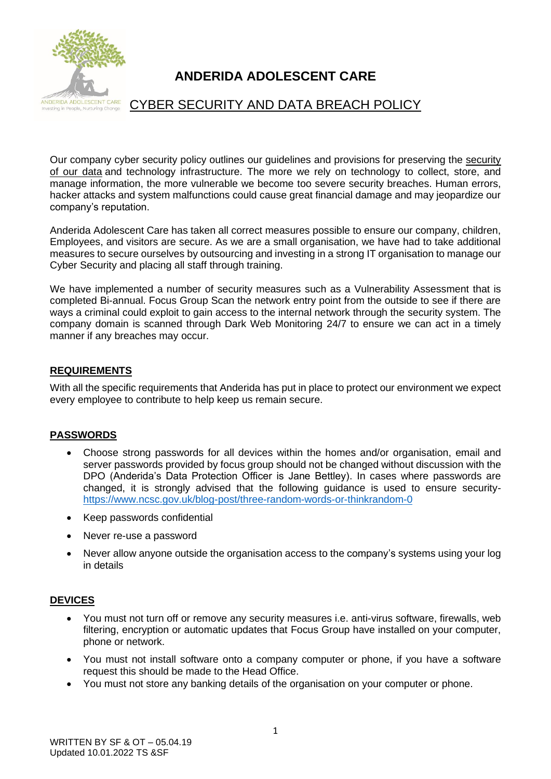

# **ANDERIDA ADOLESCENT CARE**

## CYBER SECURITY AND DATA BREACH POLICY

Our company cyber security policy outlines our guidelines and provisions for preserving the [security](file://///10.0.5.5/AnderidaCare/Public/CURRENT%20POLICIES%20AND%20PROCEDURES/CURRENT%20POLICIES%20&%20PROCEDURES-PDF/DATA%20PROTECTION%20POLICY.pdf)  [of our data](file://///10.0.5.5/AnderidaCare/Public/CURRENT%20POLICIES%20AND%20PROCEDURES/CURRENT%20POLICIES%20&%20PROCEDURES-PDF/DATA%20PROTECTION%20POLICY.pdf) and technology infrastructure. The more we rely on technology to collect, store, and manage information, the more vulnerable we become too severe security breaches. Human errors, hacker attacks and system malfunctions could cause great financial damage and may jeopardize our company's reputation.

Anderida Adolescent Care has taken all correct measures possible to ensure our company, children, Employees, and visitors are secure. As we are a small organisation, we have had to take additional measures to secure ourselves by outsourcing and investing in a strong IT organisation to manage our Cyber Security and placing all staff through training.

We have implemented a number of security measures such as a Vulnerability Assessment that is completed Bi-annual. Focus Group Scan the network entry point from the outside to see if there are ways a criminal could exploit to gain access to the internal network through the security system. The company domain is scanned through Dark Web Monitoring 24/7 to ensure we can act in a timely manner if any breaches may occur.

#### **REQUIREMENTS**

With all the specific requirements that Anderida has put in place to protect our environment we expect every employee to contribute to help keep us remain secure.

#### **PASSWORDS**

- Choose strong passwords for all devices within the homes and/or organisation, email and server passwords provided by focus group should not be changed without discussion with the DPO (Anderida's Data Protection Officer is Jane Bettley). In cases where passwords are changed, it is strongly advised that the following guidance is used to ensure security<https://www.ncsc.gov.uk/blog-post/three-random-words-or-thinkrandom-0>
- Keep passwords confidential
- Never re-use a password
- Never allow anyone outside the organisation access to the company's systems using your log in details

## **DEVICES**

- You must not turn off or remove any security measures i.e. anti-virus software, firewalls, web filtering, encryption or automatic updates that Focus Group have installed on your computer, phone or network.
- You must not install software onto a company computer or phone, if you have a software request this should be made to the Head Office.
- You must not store any banking details of the organisation on your computer or phone.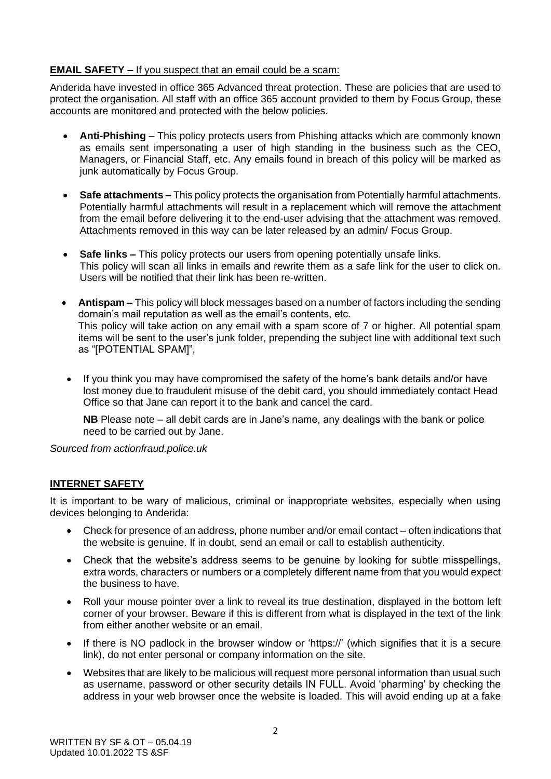## **EMAIL SAFETY –** If you suspect that an email could be a scam:

Anderida have invested in office 365 Advanced threat protection. These are policies that are used to protect the organisation. All staff with an office 365 account provided to them by Focus Group, these accounts are monitored and protected with the below policies.

- **Anti-Phishing** This policy protects users from Phishing attacks which are commonly known as emails sent impersonating a user of high standing in the business such as the CEO, Managers, or Financial Staff, etc. Any emails found in breach of this policy will be marked as junk automatically by Focus Group.
- **Safe attachments –** This policy protects the organisation from Potentially harmful attachments. Potentially harmful attachments will result in a replacement which will remove the attachment from the email before delivering it to the end-user advising that the attachment was removed. Attachments removed in this way can be later released by an admin/ Focus Group.
- **Safe links –** This policy protects our users from opening potentially unsafe links. This policy will scan all links in emails and rewrite them as a safe link for the user to click on. Users will be notified that their link has been re-written.
- **Antispam –** This policy will block messages based on a number of factors including the sending domain's mail reputation as well as the email's contents, etc. This policy will take action on any email with a spam score of 7 or higher. All potential spam items will be sent to the user's junk folder, prepending the subject line with additional text such as "[POTENTIAL SPAM]",
- If you think you may have compromised the safety of the home's bank details and/or have lost money due to fraudulent misuse of the debit card, you should immediately contact Head Office so that Jane can report it to the bank and cancel the card.

**NB** Please note – all debit cards are in Jane's name, any dealings with the bank or police need to be carried out by Jane.

*Sourced from actionfraud.police.uk*

## **INTERNET SAFETY**

It is important to be wary of malicious, criminal or inappropriate websites, especially when using devices belonging to Anderida:

- Check for presence of an address, phone number and/or email contact often indications that the website is genuine. If in doubt, send an email or call to establish authenticity.
- Check that the website's address seems to be genuine by looking for subtle misspellings, extra words, characters or numbers or a completely different name from that you would expect the business to have.
- Roll your mouse pointer over a link to reveal its true destination, displayed in the bottom left corner of your browser. Beware if this is different from what is displayed in the text of the link from either another website or an email.
- If there is NO padlock in the browser window or 'https://' (which signifies that it is a secure link), do not enter personal or company information on the site.
- Websites that are likely to be malicious will request more personal information than usual such as username, password or other security details IN FULL. Avoid 'pharming' by checking the address in your web browser once the website is loaded. This will avoid ending up at a fake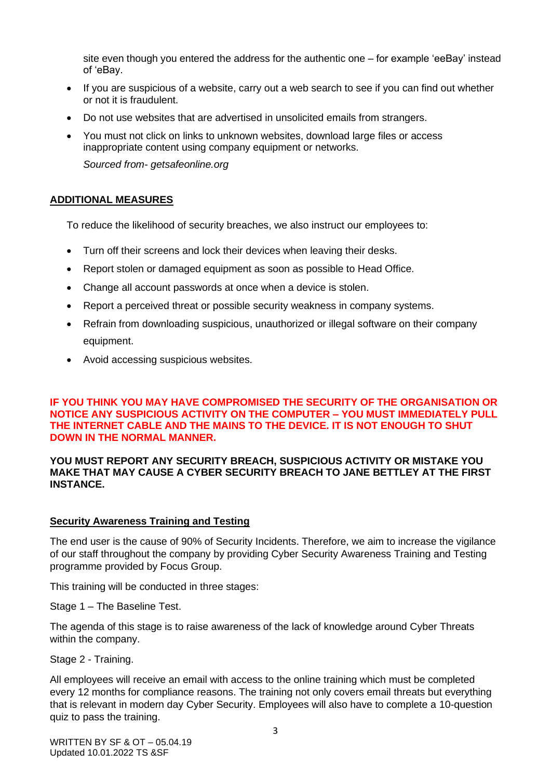site even though you entered the address for the authentic one – for example 'eeBay' instead of 'eBay.

- If you are suspicious of a website, carry out a web search to see if you can find out whether or not it is fraudulent.
- Do not use websites that are advertised in unsolicited emails from strangers.
- You must not click on links to unknown websites, download large files or access inappropriate content using company equipment or networks.

*Sourced from- getsafeonline.org*

## **ADDITIONAL MEASURES**

To reduce the likelihood of security breaches, we also instruct our employees to:

- Turn off their screens and lock their devices when leaving their desks.
- Report stolen or damaged equipment as soon as possible to Head Office.
- Change all account passwords at once when a device is stolen.
- Report a perceived threat or possible security weakness in company systems.
- Refrain from downloading suspicious, unauthorized or illegal software on their company equipment.
- Avoid accessing suspicious websites.

#### **IF YOU THINK YOU MAY HAVE COMPROMISED THE SECURITY OF THE ORGANISATION OR NOTICE ANY SUSPICIOUS ACTIVITY ON THE COMPUTER – YOU MUST IMMEDIATELY PULL THE INTERNET CABLE AND THE MAINS TO THE DEVICE. IT IS NOT ENOUGH TO SHUT DOWN IN THE NORMAL MANNER.**

#### **YOU MUST REPORT ANY SECURITY BREACH, SUSPICIOUS ACTIVITY OR MISTAKE YOU MAKE THAT MAY CAUSE A CYBER SECURITY BREACH TO JANE BETTLEY AT THE FIRST INSTANCE.**

#### **Security Awareness Training and Testing**

The end user is the cause of 90% of Security Incidents. Therefore, we aim to increase the vigilance of our staff throughout the company by providing Cyber Security Awareness Training and Testing programme provided by Focus Group.

This training will be conducted in three stages:

Stage 1 – The Baseline Test.

The agenda of this stage is to raise awareness of the lack of knowledge around Cyber Threats within the company.

Stage 2 - Training.

All employees will receive an email with access to the online training which must be completed every 12 months for compliance reasons. The training not only covers email threats but everything that is relevant in modern day Cyber Security. Employees will also have to complete a 10-question quiz to pass the training.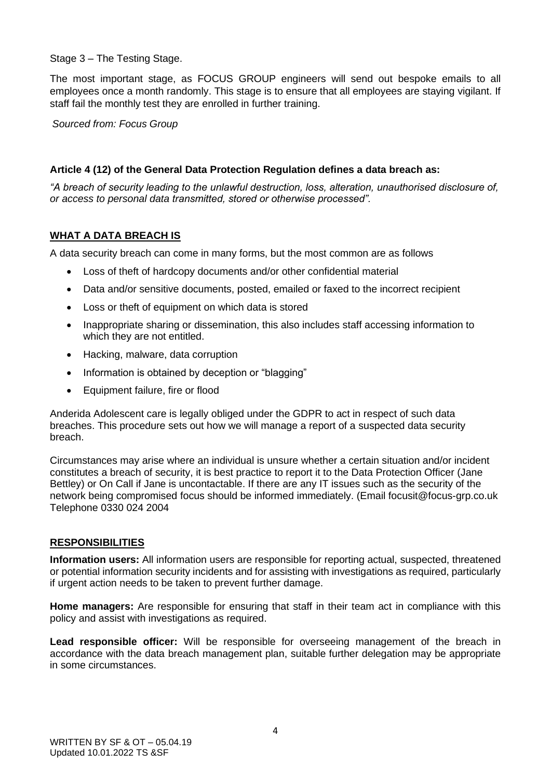Stage 3 – The Testing Stage.

The most important stage, as FOCUS GROUP engineers will send out bespoke emails to all employees once a month randomly. This stage is to ensure that all employees are staying vigilant. If staff fail the monthly test they are enrolled in further training.

*Sourced from: Focus Group*

## **Article 4 (12) of the General Data Protection Regulation defines a data breach as:**

*"A breach of security leading to the unlawful destruction, loss, alteration, unauthorised disclosure of, or access to personal data transmitted, stored or otherwise processed".*

## **WHAT A DATA BREACH IS**

A data security breach can come in many forms, but the most common are as follows

- Loss of theft of hardcopy documents and/or other confidential material
- Data and/or sensitive documents, posted, emailed or faxed to the incorrect recipient
- Loss or theft of equipment on which data is stored
- Inappropriate sharing or dissemination, this also includes staff accessing information to which they are not entitled.
- Hacking, malware, data corruption
- Information is obtained by deception or "blagging"
- Equipment failure, fire or flood

Anderida Adolescent care is legally obliged under the GDPR to act in respect of such data breaches. This procedure sets out how we will manage a report of a suspected data security breach.

Circumstances may arise where an individual is unsure whether a certain situation and/or incident constitutes a breach of security, it is best practice to report it to the Data Protection Officer (Jane Bettley) or On Call if Jane is uncontactable. If there are any IT issues such as the security of the network being compromised focus should be informed immediately. (Email focusit@focus-grp.co.uk Telephone 0330 024 2004

## **RESPONSIBILITIES**

**Information users:** All information users are responsible for reporting actual, suspected, threatened or potential information security incidents and for assisting with investigations as required, particularly if urgent action needs to be taken to prevent further damage.

**Home managers:** Are responsible for ensuring that staff in their team act in compliance with this policy and assist with investigations as required.

**Lead responsible officer:** Will be responsible for overseeing management of the breach in accordance with the data breach management plan, suitable further delegation may be appropriate in some circumstances.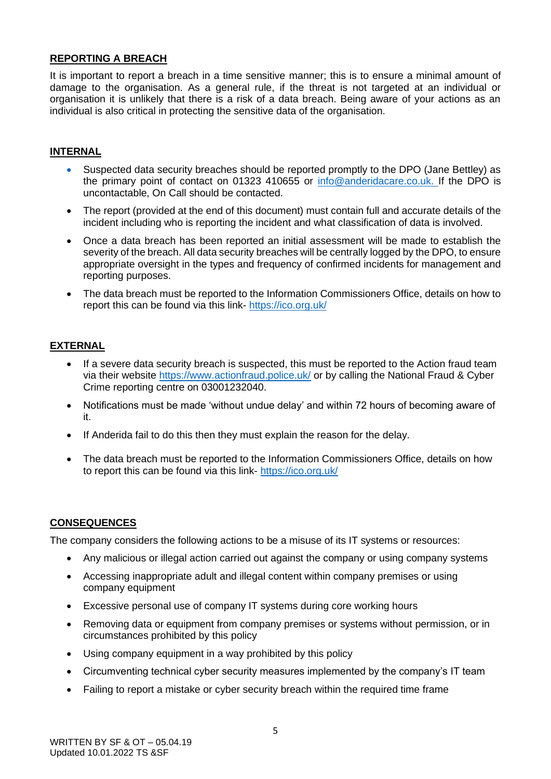## **REPORTING A BREACH**

It is important to report a breach in a time sensitive manner; this is to ensure a minimal amount of damage to the organisation. As a general rule, if the threat is not targeted at an individual or organisation it is unlikely that there is a risk of a data breach. Being aware of your actions as an individual is also critical in protecting the sensitive data of the organisation.

## **INTERNAL**

- Suspected data security breaches should be reported promptly to the DPO (Jane Bettley) as the primary point of contact on 01323 410655 or [info@anderidacare.co.uk.](mailto:info@anderidacare.co.uk) If the DPO is uncontactable, On Call should be contacted.
- The report (provided at the end of this document) must contain full and accurate details of the incident including who is reporting the incident and what classification of data is involved.
- Once a data breach has been reported an initial assessment will be made to establish the severity of the breach. All data security breaches will be centrally logged by the DPO, to ensure appropriate oversight in the types and frequency of confirmed incidents for management and reporting purposes.
- The data breach must be reported to the Information Commissioners Office, details on how to report this can be found via this link- <https://ico.org.uk/>

#### **EXTERNAL**

- If a severe data security breach is suspected, this must be reported to the Action fraud team via their website<https://www.actionfraud.police.uk/> or by calling the National Fraud & Cyber Crime reporting centre on 03001232040.
- Notifications must be made 'without undue delay' and within 72 hours of becoming aware of it.
- If Anderida fail to do this then they must explain the reason for the delay.
- The data breach must be reported to the Information Commissioners Office, details on how to report this can be found via this link- <https://ico.org.uk/>

## **CONSEQUENCES**

The company considers the following actions to be a misuse of its IT systems or resources:

- Any malicious or illegal action carried out against the company or using company systems
- Accessing inappropriate adult and illegal content within company premises or using company equipment
- Excessive personal use of company IT systems during core working hours
- Removing data or equipment from company premises or systems without permission, or in circumstances prohibited by this policy
- Using company equipment in a way prohibited by this policy
- Circumventing technical cyber security measures implemented by the company's IT team
- Failing to report a mistake or cyber security breach within the required time frame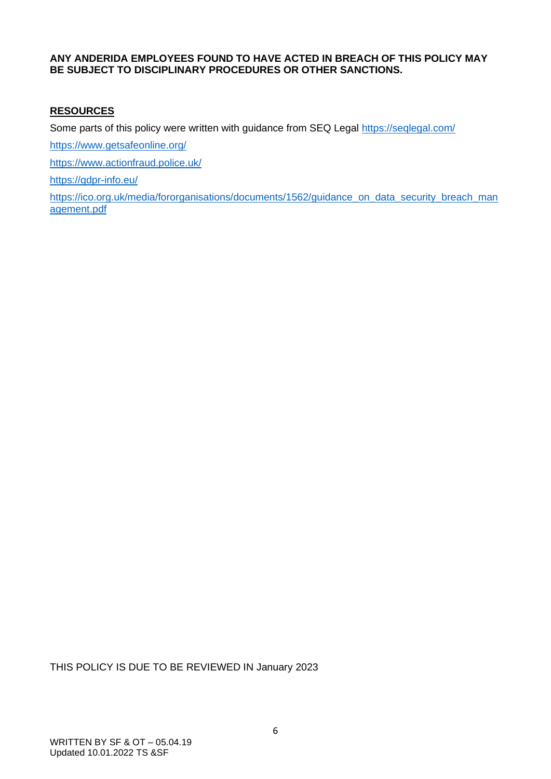#### **ANY ANDERIDA EMPLOYEES FOUND TO HAVE ACTED IN BREACH OF THIS POLICY MAY BE SUBJECT TO DISCIPLINARY PROCEDURES OR OTHER SANCTIONS.**

#### **RESOURCES**

Some parts of this policy were written with guidance from SEQ Legal <https://seqlegal.com/>

<https://www.getsafeonline.org/>

<https://www.actionfraud.police.uk/>

<https://gdpr-info.eu/>

[https://ico.org.uk/media/fororganisations/documents/1562/guidance\\_on\\_data\\_security\\_breach\\_man](https://ico.org.uk/media/fororganisations/documents/1562/guidance_on_data_security_breach_management.pdf) [agement.pdf](https://ico.org.uk/media/fororganisations/documents/1562/guidance_on_data_security_breach_management.pdf)

THIS POLICY IS DUE TO BE REVIEWED IN January 2023